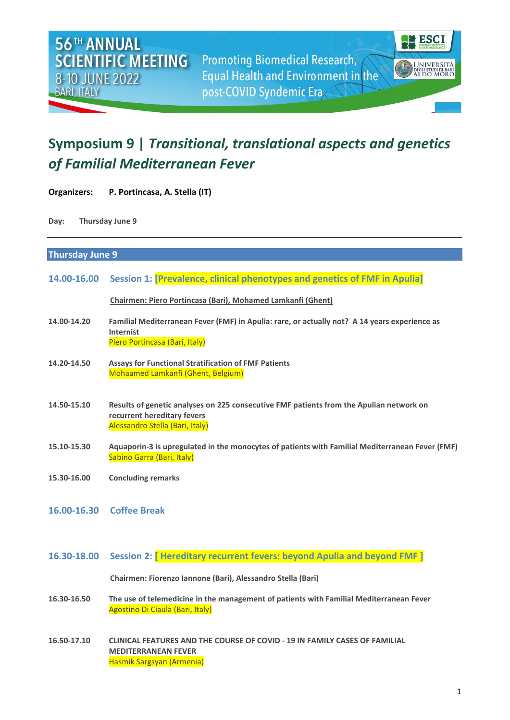**Promoting Biomedical Research,** Equal Health and Environment in the post-COVID Syndemic Era



## **Symposium 9 |** *Transitional, translational aspects and genetics of Familial Mediterranean Fever*

**Organizers: P. Portincasa, A. Stella (IT)**

**Day: Thursday June 9**

| <b>Thursday June 9</b> |                                                                                                                                                           |
|------------------------|-----------------------------------------------------------------------------------------------------------------------------------------------------------|
| 14.00-16.00            | Session 1: [Prevalence, clinical phenotypes and genetics of FMF in Apulia]                                                                                |
|                        | Chairmen: Piero Portincasa (Bari), Mohamed Lamkanfi (Ghent)                                                                                               |
| 14.00-14.20            | Familial Mediterranean Fever (FMF) in Apulia: rare, or actually not? A 14 years experience as<br><b>Internist</b><br>Piero Portincasa (Bari, Italy)       |
| 14.20-14.50            | <b>Assays for Functional Stratification of FMF Patients</b><br>Mohaamed Lamkanfi (Ghent, Belgium)                                                         |
| 14.50-15.10            | Results of genetic analyses on 225 consecutive FMF patients from the Apulian network on<br>recurrent hereditary fevers<br>Alessandro Stella (Bari, Italy) |
| 15.10-15.30            | Aquaporin-3 is upregulated in the monocytes of patients with Familial Mediterranean Fever (FMF)<br>Sabino Garra (Bari, Italy)                             |
| 15.30-16.00            | <b>Concluding remarks</b>                                                                                                                                 |
| 16.00-16.30            | <b>Coffee Break</b>                                                                                                                                       |
| 16.30-18.00            | Session 2: [Hereditary recurrent fevers: beyond Apulia and beyond FMF]                                                                                    |
|                        | Chairmen: Fiorenzo Iannone (Bari), Alessandro Stella (Bari)                                                                                               |
| 16.30-16.50            | The use of telemedicine in the management of patients with Familial Mediterranean Fever<br>Agostino Di Ciaula (Bari, Italy)                               |
| 16.50-17.10            | <b>CLINICAL FEATURES AND THE COURSE OF COVID - 19 IN FAMILY CASES OF FAMILIAL</b><br><b>MEDITERRANEAN FEVER</b><br>Hasmik Sargsyan (Armenia)              |